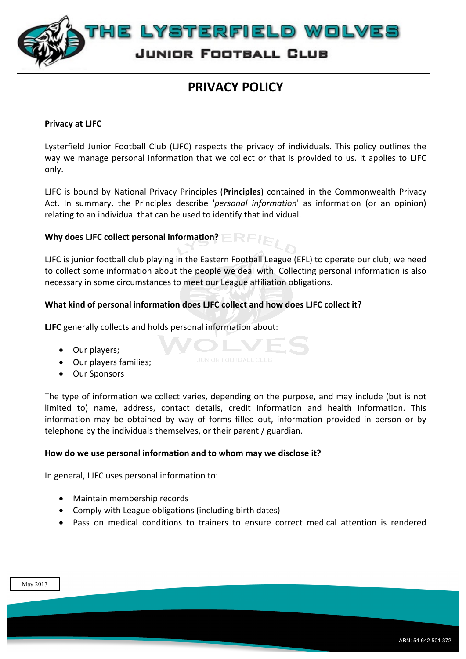

# **PRIVACY POLICY**

#### **Privacy at LJFC**

Lysterfield Junior Football Club (LJFC) respects the privacy of individuals. This policy outlines the way we manage personal information that we collect or that is provided to us. It applies to LJFC only.

LJFC is bound by National Privacy Principles (Principles) contained in the Commonwealth Privacy Act. In summary, the Principles describe '*personal information*' as information (or an opinion) relating to an individual that can be used to identify that individual.

# **Why does LJFC collect personal information?**  $E \rightarrow E$

LJFC is junior football club playing in the Eastern Football League (EFL) to operate our club; we need to collect some information about the people we deal with. Collecting personal information is also necessary in some circumstances to meet our League affiliation obligations.

# **What kind of personal information does LIFC collect and how does LIFC collect it?**

OL

**LJFC** generally collects and holds personal information about:

- Our players;
- Our players families;
- Our Sponsors

The type of information we collect varies, depending on the purpose, and may include (but is not limited to) name, address, contact details, credit information and health information. This information may be obtained by way of forms filled out, information provided in person or by telephone by the individuals themselves, or their parent / guardian.

#### How do we use personal information and to whom may we disclose it?

In general, LJFC uses personal information to:

- Maintain membership records
- Comply with League obligations (including birth dates)
- Pass on medical conditions to trainers to ensure correct medical attention is rendered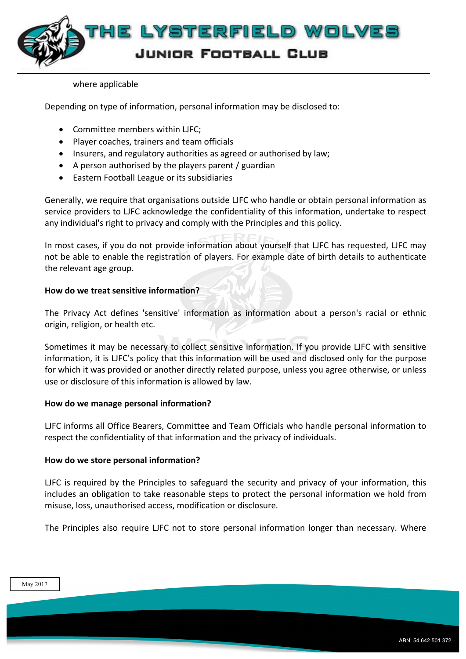

#### where applicable

Depending on type of information, personal information may be disclosed to:

- Committee members within LJFC;
- Player coaches, trainers and team officials
- Insurers, and regulatory authorities as agreed or authorised by law;
- A person authorised by the players parent / guardian
- Eastern Football League or its subsidiaries

Generally, we require that organisations outside LJFC who handle or obtain personal information as service providers to LJFC acknowledge the confidentiality of this information, undertake to respect any individual's right to privacy and comply with the Principles and this policy.

In most cases, if you do not provide information about yourself that LJFC has requested, LJFC may not be able to enable the registration of players. For example date of birth details to authenticate the relevant age group.

# **How do we treat sensitive information?**

The Privacy Act defines 'sensitive' information as information about a person's racial or ethnic origin, religion, or health etc.

Sometimes it may be necessary to collect sensitive information. If you provide LJFC with sensitive information, it is LJFC's policy that this information will be used and disclosed only for the purpose for which it was provided or another directly related purpose, unless you agree otherwise, or unless use or disclosure of this information is allowed by law.

# **How do we manage personal information?**

LJFC informs all Office Bearers, Committee and Team Officials who handle personal information to respect the confidentiality of that information and the privacy of individuals.

# How do we store personal information?

LJFC is required by the Principles to safeguard the security and privacy of your information, this includes an obligation to take reasonable steps to protect the personal information we hold from misuse, loss, unauthorised access, modification or disclosure.

The Principles also require LJFC not to store personal information longer than necessary. Where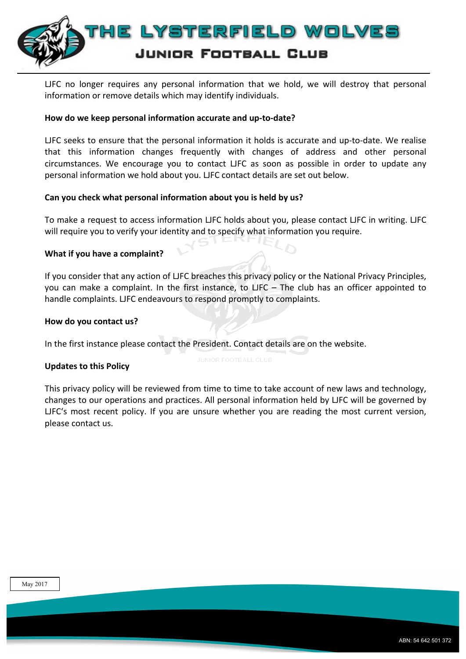

LJFC no longer requires any personal information that we hold, we will destroy that personal information or remove details which may identify individuals.

## How do we keep personal information accurate and up-to-date?

LJFC seeks to ensure that the personal information it holds is accurate and up-to-date. We realise that this information changes frequently with changes of address and other personal circumstances. We encourage you to contact LJFC as soon as possible in order to update any personal information we hold about you. LJFC contact details are set out below.

## Can you check what personal information about you is held by us?

To make a request to access information LJFC holds about you, please contact LJFC in writing. LJFC will require you to verify your identity and to specify what information you require.

## **What if you have a complaint?**

If you consider that any action of LJFC breaches this privacy policy or the National Privacy Principles, you can make a complaint. In the first instance, to LJFC – The club has an officer appointed to handle complaints. LJFC endeavours to respond promptly to complaints.

## How do you contact us?

In the first instance please contact the President. Contact details are on the website.

# **Updates to this Policy**

This privacy policy will be reviewed from time to time to take account of new laws and technology, changes to our operations and practices. All personal information held by LJFC will be governed by LJFC's most recent policy. If you are unsure whether you are reading the most current version, please contact us.